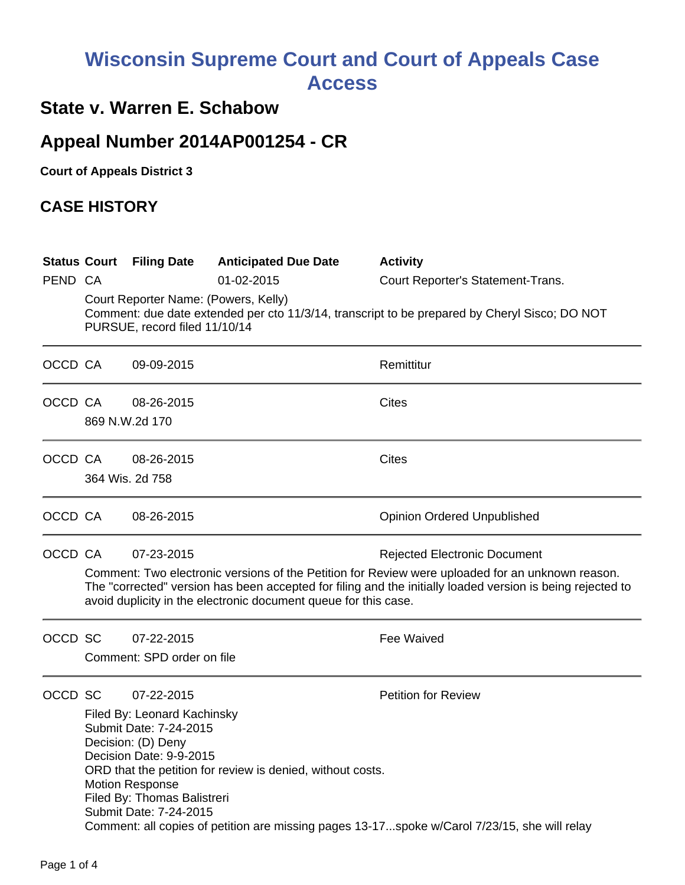## **Wisconsin Supreme Court and Court of Appeals Case Access**

## **State v. Warren E. Schabow**

## **Appeal Number 2014AP001254 - CR**

**Court of Appeals District 3**

## **CASE HISTORY**

|         |                                                                                                                                                                        | <b>Status Court Filing Date</b>                                                                                                                                                                                                                                                   | <b>Anticipated Due Date</b> | <b>Activity</b>                     |  |  |  |
|---------|------------------------------------------------------------------------------------------------------------------------------------------------------------------------|-----------------------------------------------------------------------------------------------------------------------------------------------------------------------------------------------------------------------------------------------------------------------------------|-----------------------------|-------------------------------------|--|--|--|
| PEND CA |                                                                                                                                                                        |                                                                                                                                                                                                                                                                                   | 01-02-2015                  | Court Reporter's Statement-Trans.   |  |  |  |
|         | Court Reporter Name: (Powers, Kelly)<br>Comment: due date extended per cto 11/3/14, transcript to be prepared by Cheryl Sisco; DO NOT<br>PURSUE, record filed 11/10/14 |                                                                                                                                                                                                                                                                                   |                             |                                     |  |  |  |
| OCCD CA |                                                                                                                                                                        | 09-09-2015                                                                                                                                                                                                                                                                        |                             | Remittitur                          |  |  |  |
| OCCD CA |                                                                                                                                                                        | 08-26-2015                                                                                                                                                                                                                                                                        |                             | Cites                               |  |  |  |
|         |                                                                                                                                                                        | 869 N.W.2d 170                                                                                                                                                                                                                                                                    |                             |                                     |  |  |  |
| OCCD CA |                                                                                                                                                                        | 08-26-2015                                                                                                                                                                                                                                                                        |                             | <b>Cites</b>                        |  |  |  |
|         |                                                                                                                                                                        | 364 Wis. 2d 758                                                                                                                                                                                                                                                                   |                             |                                     |  |  |  |
| OCCD CA |                                                                                                                                                                        | 08-26-2015                                                                                                                                                                                                                                                                        |                             | <b>Opinion Ordered Unpublished</b>  |  |  |  |
| OCCD CA |                                                                                                                                                                        | 07-23-2015                                                                                                                                                                                                                                                                        |                             | <b>Rejected Electronic Document</b> |  |  |  |
|         |                                                                                                                                                                        | Comment: Two electronic versions of the Petition for Review were uploaded for an unknown reason.<br>The "corrected" version has been accepted for filing and the initially loaded version is being rejected to<br>avoid duplicity in the electronic document queue for this case. |                             |                                     |  |  |  |
| OCCD SC |                                                                                                                                                                        | 07-22-2015                                                                                                                                                                                                                                                                        |                             | <b>Fee Waived</b>                   |  |  |  |
|         |                                                                                                                                                                        | Comment: SPD order on file                                                                                                                                                                                                                                                        |                             |                                     |  |  |  |
| OCCD SC |                                                                                                                                                                        | 07-22-2015                                                                                                                                                                                                                                                                        |                             | <b>Petition for Review</b>          |  |  |  |
|         | Filed By: Leonard Kachinsky<br>Submit Date: 7-24-2015<br>Decision: (D) Deny<br>Decision Date: 9-9-2015                                                                 |                                                                                                                                                                                                                                                                                   |                             |                                     |  |  |  |
|         | ORD that the petition for review is denied, without costs.<br><b>Motion Response</b><br>Filed By: Thomas Balistreri<br>Submit Date: 7-24-2015                          |                                                                                                                                                                                                                                                                                   |                             |                                     |  |  |  |
|         |                                                                                                                                                                        | Comment: all copies of petition are missing pages 13-17spoke w/Carol 7/23/15, she will relay                                                                                                                                                                                      |                             |                                     |  |  |  |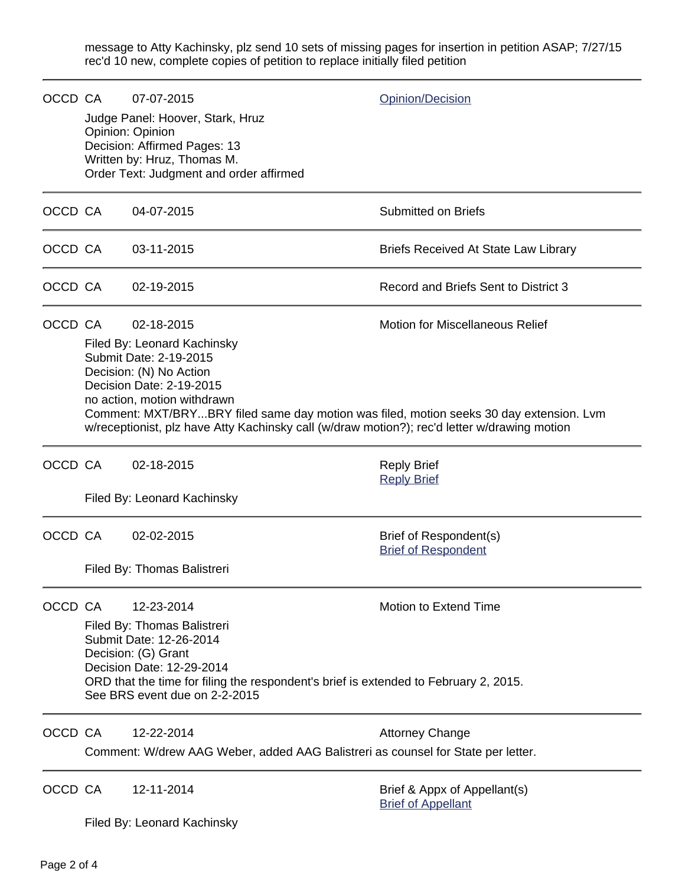message to Atty Kachinsky, plz send 10 sets of missing pages for insertion in petition ASAP; 7/27/15 rec'd 10 new, complete copies of petition to replace initially filed petition

| OCCD CA |                                                                                                                                                                                                                                                                                                                                                                                                | 07-07-2015<br>Judge Panel: Hoover, Stark, Hruz<br>Opinion: Opinion<br>Decision: Affirmed Pages: 13<br>Written by: Hruz, Thomas M.<br>Order Text: Judgment and order affirmed | <b>Opinion/Decision</b>                                   |
|---------|------------------------------------------------------------------------------------------------------------------------------------------------------------------------------------------------------------------------------------------------------------------------------------------------------------------------------------------------------------------------------------------------|------------------------------------------------------------------------------------------------------------------------------------------------------------------------------|-----------------------------------------------------------|
| OCCD CA |                                                                                                                                                                                                                                                                                                                                                                                                | 04-07-2015                                                                                                                                                                   | <b>Submitted on Briefs</b>                                |
| OCCD CA |                                                                                                                                                                                                                                                                                                                                                                                                | 03-11-2015                                                                                                                                                                   | <b>Briefs Received At State Law Library</b>               |
| OCCD CA |                                                                                                                                                                                                                                                                                                                                                                                                | 02-19-2015                                                                                                                                                                   | Record and Briefs Sent to District 3                      |
| OCCD CA | <b>Motion for Miscellaneous Relief</b><br>02-18-2015<br>Filed By: Leonard Kachinsky<br>Submit Date: 2-19-2015<br>Decision: (N) No Action<br>Decision Date: 2-19-2015<br>no action, motion withdrawn<br>Comment: MXT/BRYBRY filed same day motion was filed, motion seeks 30 day extension. Lvm<br>w/receptionist, plz have Atty Kachinsky call (w/draw motion?); rec'd letter w/drawing motion |                                                                                                                                                                              |                                                           |
| OCCD CA |                                                                                                                                                                                                                                                                                                                                                                                                | 02-18-2015<br>Filed By: Leonard Kachinsky                                                                                                                                    | <b>Reply Brief</b><br><b>Reply Brief</b>                  |
| OCCD CA |                                                                                                                                                                                                                                                                                                                                                                                                | 02-02-2015<br>Filed By: Thomas Balistreri                                                                                                                                    | Brief of Respondent(s)<br><b>Brief of Respondent</b>      |
| OCCD CA | Motion to Extend Time<br>12-23-2014<br>Filed By: Thomas Balistreri<br>Submit Date: 12-26-2014<br>Decision: (G) Grant<br>Decision Date: 12-29-2014<br>ORD that the time for filing the respondent's brief is extended to February 2, 2015.<br>See BRS event due on 2-2-2015                                                                                                                     |                                                                                                                                                                              |                                                           |
| OCCD CA |                                                                                                                                                                                                                                                                                                                                                                                                | 12-22-2014<br>Comment: W/drew AAG Weber, added AAG Balistreri as counsel for State per letter.                                                                               | <b>Attorney Change</b>                                    |
| OCCD CA |                                                                                                                                                                                                                                                                                                                                                                                                | 12-11-2014                                                                                                                                                                   | Brief & Appx of Appellant(s)<br><b>Brief of Appellant</b> |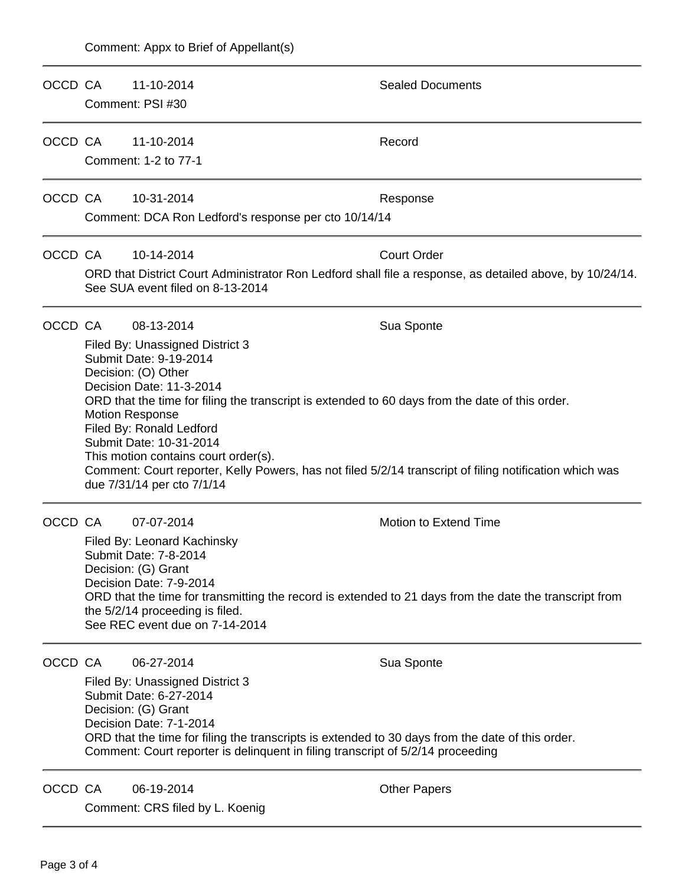| OCCD CA |                                                                                                                                                                                                                                                                                                                                                                                                                                                                                   | 11-10-2014                                                                                                                                   | <b>Sealed Documents</b>                                                                                        |  |  |  |
|---------|-----------------------------------------------------------------------------------------------------------------------------------------------------------------------------------------------------------------------------------------------------------------------------------------------------------------------------------------------------------------------------------------------------------------------------------------------------------------------------------|----------------------------------------------------------------------------------------------------------------------------------------------|----------------------------------------------------------------------------------------------------------------|--|--|--|
|         | Comment: PSI #30                                                                                                                                                                                                                                                                                                                                                                                                                                                                  |                                                                                                                                              |                                                                                                                |  |  |  |
| OCCD CA |                                                                                                                                                                                                                                                                                                                                                                                                                                                                                   | 11-10-2014                                                                                                                                   | Record                                                                                                         |  |  |  |
|         | Comment: 1-2 to 77-1                                                                                                                                                                                                                                                                                                                                                                                                                                                              |                                                                                                                                              |                                                                                                                |  |  |  |
| OCCD CA |                                                                                                                                                                                                                                                                                                                                                                                                                                                                                   | 10-31-2014                                                                                                                                   | Response                                                                                                       |  |  |  |
|         |                                                                                                                                                                                                                                                                                                                                                                                                                                                                                   | Comment: DCA Ron Ledford's response per cto 10/14/14                                                                                         |                                                                                                                |  |  |  |
| OCCD CA |                                                                                                                                                                                                                                                                                                                                                                                                                                                                                   | 10-14-2014                                                                                                                                   | <b>Court Order</b>                                                                                             |  |  |  |
|         |                                                                                                                                                                                                                                                                                                                                                                                                                                                                                   | ORD that District Court Administrator Ron Ledford shall file a response, as detailed above, by 10/24/14.<br>See SUA event filed on 8-13-2014 |                                                                                                                |  |  |  |
| OCCD CA |                                                                                                                                                                                                                                                                                                                                                                                                                                                                                   | 08-13-2014                                                                                                                                   | Sua Sponte                                                                                                     |  |  |  |
|         | Filed By: Unassigned District 3<br>Submit Date: 9-19-2014<br>Decision: (O) Other<br>Decision Date: 11-3-2014<br>ORD that the time for filing the transcript is extended to 60 days from the date of this order.<br><b>Motion Response</b><br>Filed By: Ronald Ledford<br>Submit Date: 10-31-2014<br>This motion contains court order(s).<br>Comment: Court reporter, Kelly Powers, has not filed 5/2/14 transcript of filing notification which was<br>due 7/31/14 per cto 7/1/14 |                                                                                                                                              |                                                                                                                |  |  |  |
| OCCD CA |                                                                                                                                                                                                                                                                                                                                                                                                                                                                                   | 07-07-2014<br>Filed By: Leonard Kachinsky<br>Submit Date: 7-8-2014                                                                           | Motion to Extend Time                                                                                          |  |  |  |
|         | Decision: (G) Grant<br>Decision Date: 7-9-2014<br>ORD that the time for transmitting the record is extended to 21 days from the date the transcript from<br>the 5/2/14 proceeding is filed.<br>See REC event due on 7-14-2014                                                                                                                                                                                                                                                     |                                                                                                                                              |                                                                                                                |  |  |  |
| OCCD CA |                                                                                                                                                                                                                                                                                                                                                                                                                                                                                   | 06-27-2014<br>Filed By: Unassigned District 3<br>Submit Date: 6-27-2014<br>Decision: (G) Grant<br>Decision Date: 7-1-2014                    | Sua Sponte<br>ORD that the time for filing the transcripts is extended to 30 days from the date of this order. |  |  |  |
| OCCD CA |                                                                                                                                                                                                                                                                                                                                                                                                                                                                                   | 06-19-2014<br>Comment: CRS filed by L. Koenig                                                                                                | Comment: Court reporter is delinguent in filing transcript of 5/2/14 proceeding<br><b>Other Papers</b>         |  |  |  |